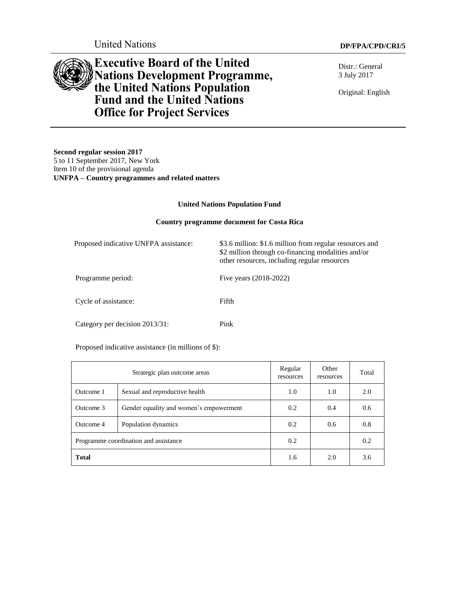United Nations **DP/FPA/CPD/CRI/5**

**Executive Board of the United Nations Development Programme, the United Nations Population Fund and the United Nations Office for Project Services**

Distr.: General 3 July 2017

Original: English

**Second regular session 2017** 5 to 11 September 2017, New York Item 10 of the provisional agenda **UNFPA – Country programmes and related matters**

#### **United Nations Population Fund**

#### **Country programme document for Costa Rica**

| Proposed indicative UNFPA assistance: | \$3.6 million: \$1.6 million from regular resources and<br>\$2 million through co-financing modalities and/or<br>other resources, including regular resources |
|---------------------------------------|---------------------------------------------------------------------------------------------------------------------------------------------------------------|
| Programme period:                     | Five years (2018-2022)                                                                                                                                        |
| Cycle of assistance:                  | Fifth                                                                                                                                                         |
| Category per decision 2013/31:        | Pink                                                                                                                                                          |

Proposed indicative assistance (in millions of \$):

| Strategic plan outcome areas          |                                         | Regular<br>resources | Other<br>resources | Total |
|---------------------------------------|-----------------------------------------|----------------------|--------------------|-------|
| Outcome 1                             | Sexual and reproductive health          | 1.0                  | 1.0                | 2.0   |
| Outcome 3                             | Gender equality and women's empowerment |                      | 0.4                | 0.6   |
| Outcome 4                             | Population dynamics                     | 0.2                  | 0.6                | 0.8   |
| Programme coordination and assistance |                                         | 0.2                  |                    | 0.2   |
| <b>Total</b>                          |                                         | 1.6                  | 2.0                | 3.6   |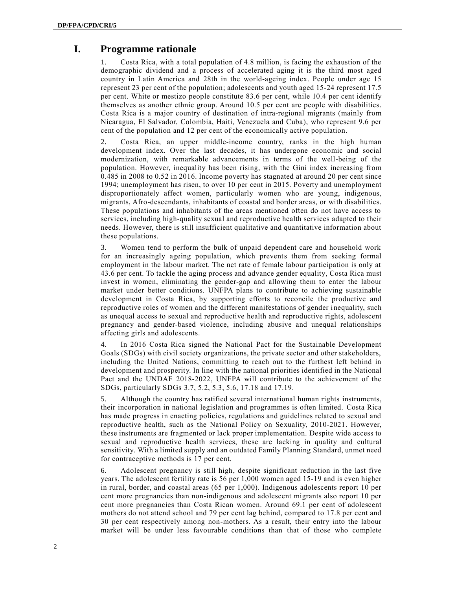# **I. Programme rationale**

1. Costa Rica, with a total population of 4.8 million, is facing the exhaustion of the demographic dividend and a process of accelerated aging it is the third most aged country in Latin America and 28th in the world-ageing index. People under age 15 represent 23 per cent of the population; adolescents and youth aged 15-24 represent 17.5 per cent. White or mestizo people constitute 83.6 per cent, while 10.4 per cent identify themselves as another ethnic group. Around 10.5 per cent are people with disabilities. Costa Rica is a major country of destination of intra-regional migrants (mainly from Nicaragua, El Salvador, Colombia, Haiti, Venezuela and Cuba), who represent 9.6 per cent of the population and 12 per cent of the economically active population.

2. Costa Rica, an upper middle-income country, ranks in the high human development index. Over the last decades, it has undergone economic and social modernization, with remarkable advancements in terms of the well-being of the population. However, inequality has been rising, with the Gini index increasing from 0.485 in 2008 to 0.52 in 2016. Income poverty has stagnated at around 20 per cent since 1994; unemployment has risen, to over 10 per cent in 2015. Poverty and unemployment disproportionately affect women, particularly women who are young, indigenous, migrants, Afro-descendants, inhabitants of coastal and border areas, or with disabilities. These populations and inhabitants of the areas mentioned often do not have access to services, including high-quality sexual and reproductive health services adapted to their needs. However, there is still insufficient qualitative and quantitative information about these populations.

3. Women tend to perform the bulk of unpaid dependent care and household work for an increasingly ageing population, which prevents them from seeking formal employment in the labour market. The net rate of female labour participation is only at 43.6 per cent. To tackle the aging process and advance gender equality, Costa Rica must invest in women, eliminating the gender-gap and allowing them to enter the labour market under better conditions. UNFPA plans to contribute to achieving sustainable development in Costa Rica, by supporting efforts to reconcile the productive and reproductive roles of women and the different manifestations of gender inequality, such as unequal access to sexual and reproductive health and reproductive rights, adolescent pregnancy and gender-based violence, including abusive and unequal relationships affecting girls and adolescents.

4. In 2016 Costa Rica signed the National Pact for the Sustainable Development Goals (SDGs) with civil society organizations, the private sector and other stakeholders, including the United Nations, committing to reach out to the furthest left behind in development and prosperity. In line with the national priorities identified in the National Pact and the UNDAF 2018-2022, UNFPA will contribute to the achievement of the SDGs, particularly SDGs 3.7, 5.2, 5.3, 5.6, 17.18 and 17.19.

5. Although the country has ratified several international human rights instruments, their incorporation in national legislation and programmes is often limited. Costa Rica has made progress in enacting policies, regulations and guidelines related to sexual and reproductive health, such as the National Policy on Sexuality, 2010-2021. However, these instruments are fragmented or lack proper implementation. Despite wide access to sexual and reproductive health services, these are lacking in quality and cultural sensitivity. With a limited supply and an outdated Family Planning Standard, unmet need for contraceptive methods is 17 per cent.

6. Adolescent pregnancy is still high, despite significant reduction in the last five years. The adolescent fertility rate is 56 per 1,000 women aged 15-19 and is even higher in rural, border, and coastal areas (65 per 1,000). Indigenous adolescents report 10 per cent more pregnancies than non-indigenous and adolescent migrants also report 10 per cent more pregnancies than Costa Rican women. Around 69.1 per cent of adolescent mothers do not attend school and 79 per cent lag behind, compared to 17.8 per cent and 30 per cent respectively among non-mothers. As a result, their entry into the labour market will be under less favourable conditions than that of those who complete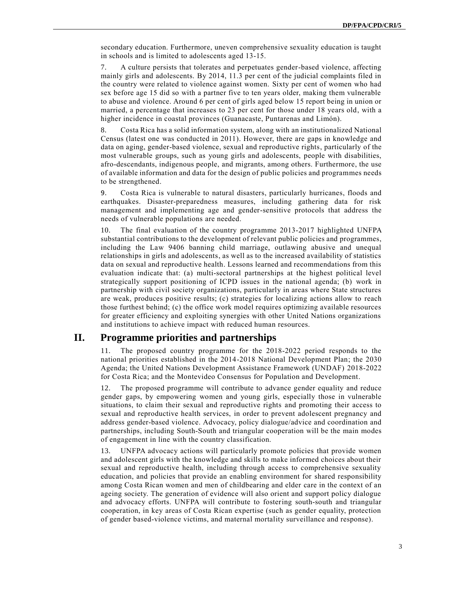secondary education. Furthermore, uneven comprehensive sexuality education is taught in schools and is limited to adolescents aged 13-15.

7. A culture persists that tolerates and perpetuates gender-based violence, affecting mainly girls and adolescents. By 2014, 11.3 per cent of the judicial complaints filed in the country were related to violence against women. Sixty per cent of women who had sex before age 15 did so with a partner five to ten years older, making them vulnerable to abuse and violence. Around 6 per cent of girls aged below 15 report being in union or married, a percentage that increases to 23 per cent for those under 18 years old, with a higher incidence in coastal provinces (Guanacaste, Puntarenas and Limón).

8. Costa Rica has a solid information system, along with an institutionalized National Census (latest one was conducted in 2011). However, there are gaps in knowledge and data on aging, gender-based violence, sexual and reproductive rights, particularly of the most vulnerable groups, such as young girls and adolescents, people with disabilities, afro-descendants, indigenous people, and migrants, among others. Furthermore, the use of available information and data for the design of public policies and programmes needs to be strengthened.

9. Costa Rica is vulnerable to natural disasters, particularly hurricanes, floods and earthquakes. Disaster-preparedness measures, including gathering data for risk management and implementing age and gender-sensitive protocols that address the needs of vulnerable populations are needed.

10. The final evaluation of the country programme 2013-2017 highlighted UNFPA substantial contributions to the development of relevant public policies and programmes, including the Law 9406 banning child marriage, outlawing abusive and unequal relationships in girls and adolescents, as well as to the increased availability of statistics data on sexual and reproductive health. Lessons learned and recommendations from this evaluation indicate that: (a) multi-sectoral partnerships at the highest political level strategically support positioning of ICPD issues in the national agenda; (b) work in partnership with civil society organizations, particularly in areas where State structures are weak, produces positive results; (c) strategies for localizing actions allow to reach those furthest behind; (c) the office work model requires optimizing available resources for greater efficiency and exploiting synergies with other United Nations organizations and institutions to achieve impact with reduced human resources.

## **II. Programme priorities and partnerships**

11. The proposed country programme for the 2018-2022 period responds to the national priorities established in the 2014-2018 National Development Plan; the 2030 Agenda; the United Nations Development Assistance Framework (UNDAF) 2018-2022 for Costa Rica; and the Montevideo Consensus for Population and Development.

12. The proposed programme will contribute to advance gender equality and reduce gender gaps, by empowering women and young girls, especially those in vulnerable situations, to claim their sexual and reproductive rights and promoting their access to sexual and reproductive health services, in order to prevent adolescent pregnancy and address gender-based violence. Advocacy, policy dialogue/advice and coordination and partnerships, including South-South and triangular cooperation will be the main modes of engagement in line with the country classification.

13. UNFPA advocacy actions will particularly promote policies that provide women and adolescent girls with the knowledge and skills to make informed choices about their sexual and reproductive health, including through access to comprehensive sexuality education, and policies that provide an enabling environment for shared responsibility among Costa Rican women and men of childbearing and elder care in the context of an ageing society. The generation of evidence will also orient and support policy dialogue and advocacy efforts. UNFPA will contribute to fostering south-south and triangular cooperation, in key areas of Costa Rican expertise (such as gender equality, protection of gender based-violence victims, and maternal mortality surveillance and response).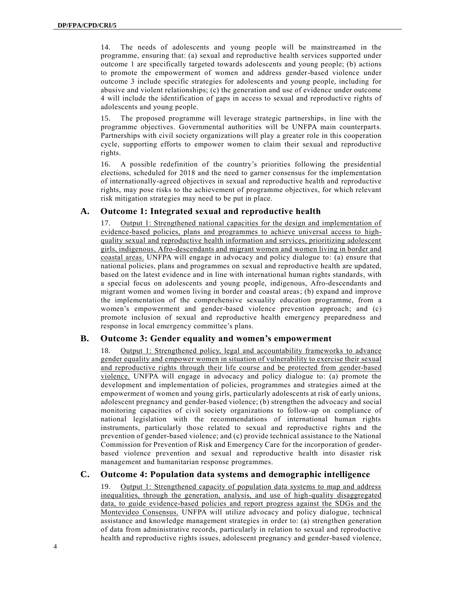14. The needs of adolescents and young people will be mainstreamed in the programme, ensuring that: (a) sexual and reproductive health services supported under outcome 1 are specifically targeted towards adolescents and young people; (b) actions to promote the empowerment of women and address gender-based violence under outcome 3 include specific strategies for adolescents and young people, including for abusive and violent relationships; (c) the generation and use of evidence under outcome 4 will include the identification of gaps in access to sexual and reproductive rights of adolescents and young people.

15. The proposed programme will leverage strategic partnerships, in line with the programme objectives. Governmental authorities will be UNFPA main counterparts. Partnerships with civil society organizations will play a greater role in this cooperation cycle, supporting efforts to empower women to claim their sexual and reproductive rights.

16. A possible redefinition of the country's priorities following the presidential elections, scheduled for 2018 and the need to garner consensus for the implementation of internationally-agreed objectives in sexual and reproductive health and reproductive rights, may pose risks to the achievement of programme objectives, for which relevant risk mitigation strategies may need to be put in place.

#### **A. Outcome 1: Integrated sexual and reproductive health**

17. Output 1: Strengthened national capacities for the design and implementation of evidence-based policies, plans and programmes to achieve universal access to highquality sexual and reproductive health information and services, prioritizing adolescent girls, indigenous, Afro-descendants and migrant women and women living in border and coastal areas. UNFPA will engage in advocacy and policy dialogue to: (a) ensure that national policies, plans and programmes on sexual and reproductive health are updated, based on the latest evidence and in line with international human rights standards, with a special focus on adolescents and young people, indigenous, Afro-descendants and migrant women and women living in border and coastal areas; (b) expand and improve the implementation of the comprehensive sexuality education programme, from a women's empowerment and gender-based violence prevention approach; and (c) promote inclusion of sexual and reproductive health emergency preparedness and response in local emergency committee's plans.

#### **B. Outcome 3: Gender equality and women's empowerment**

18. Output 1: Strengthened policy, legal and accountability frameworks to advance gender equality and empower women in situation of vulnerability to exercise their sexual and reproductive rights through their life course and be protected from gender-based violence. UNFPA will engage in advocacy and policy dialogue to: (a) promote the development and implementation of policies, programmes and strategies aimed at the empowerment of women and young girls, particularly adolescents at risk of early unions, adolescent pregnancy and gender-based violence; (b) strengthen the advocacy and social monitoring capacities of civil society organizations to follow-up on compliance of national legislation with the recommendations of international human rights instruments, particularly those related to sexual and reproductive rights and the prevention of gender-based violence; and (c) provide technical assistance to the National Commission for Prevention of Risk and Emergency Care for the incorporation of genderbased violence prevention and sexual and reproductive health into disaster risk management and humanitarian response programmes.

### **C. Outcome 4: Population data systems and demographic intelligence**

19. Output 1: Strengthened capacity of population data systems to map and address inequalities, through the generation, analysis, and use of high-quality disaggregated data, to guide evidence-based policies and report progress against the SDGs and the Montevideo Consensus. UNFPA will utilize advocacy and policy dialogue, technical assistance and knowledge management strategies in order to: (a) strengthen generation of data from administrative records, particularly in relation to sexual and reproductive health and reproductive rights issues, adolescent pregnancy and gender-based violence,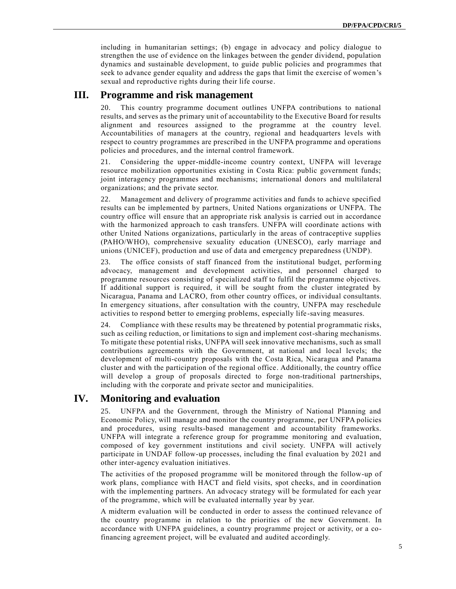including in humanitarian settings; (b) engage in advocacy and policy dialogue to strengthen the use of evidence on the linkages between the gender dividend, population dynamics and sustainable development, to guide public policies and programmes that seek to advance gender equality and address the gaps that limit the exercise of women's sexual and reproductive rights during their life course.

## **III. Programme and risk management**

20. This country programme document outlines UNFPA contributions to national results, and serves as the primary unit of accountability to the Executive Board for results alignment and resources assigned to the programme at the country level. Accountabilities of managers at the country, regional and headquarters levels with respect to country programmes are prescribed in the UNFPA programme and operations policies and procedures, and the internal control framework.

21. Considering the upper-middle-income country context, UNFPA will leverage resource mobilization opportunities existing in Costa Rica: public government funds; joint interagency programmes and mechanisms; international donors and multilateral organizations; and the private sector.

22. Management and delivery of programme activities and funds to achieve specified results can be implemented by partners, United Nations organizations or UNFPA. The country office will ensure that an appropriate risk analysis is carried out in accordance with the harmonized approach to cash transfers. UNFPA will coordinate actions with other United Nations organizations, particularly in the areas of contraceptive supplies (PAHO/WHO), comprehensive sexuality education (UNESCO), early marriage and unions (UNICEF), production and use of data and emergency preparedness (UNDP).

23. The office consists of staff financed from the institutional budget, performing advocacy, management and development activities, and personnel charged to programme resources consisting of specialized staff to fulfil the programme objectives. If additional support is required, it will be sought from the cluster integrated by Nicaragua, Panama and LACRO, from other country offices, or individual consultants. In emergency situations, after consultation with the country, UNFPA may reschedule activities to respond better to emerging problems, especially life -saving measures.

24. Compliance with these results may be threatened by potential programmatic risks, such as ceiling reduction, or limitations to sign and implement cost-sharing mechanisms. To mitigate these potential risks, UNFPA will seek innovative mechanisms, such as small contributions agreements with the Government, at national and local levels; the development of multi-country proposals with the Costa Rica, Nicaragua and Panama cluster and with the participation of the regional office. Additionally, the country office will develop a group of proposals directed to forge non-traditional partnerships, including with the corporate and private sector and municipalities.

# **IV. Monitoring and evaluation**

25. UNFPA and the Government, through the Ministry of National Planning and Economic Policy, will manage and monitor the country programme, per UNFPA policies and procedures, using results-based management and accountability frameworks. UNFPA will integrate a reference group for programme monitoring and evaluation, composed of key government institutions and civil society. UNFPA will actively participate in UNDAF follow-up processes, including the final evaluation by 2021 and other inter-agency evaluation initiatives.

The activities of the proposed programme will be monitored through the follow-up of work plans, compliance with HACT and field visits, spot checks, and in coordination with the implementing partners. An advocacy strategy will be formulated for each year of the programme, which will be evaluated internally year by year.

A midterm evaluation will be conducted in order to assess the continued relevance of the country programme in relation to the priorities of the new Government. In accordance with UNFPA guidelines, a country programme project or activity, or a cofinancing agreement project, will be evaluated and audited accordingly.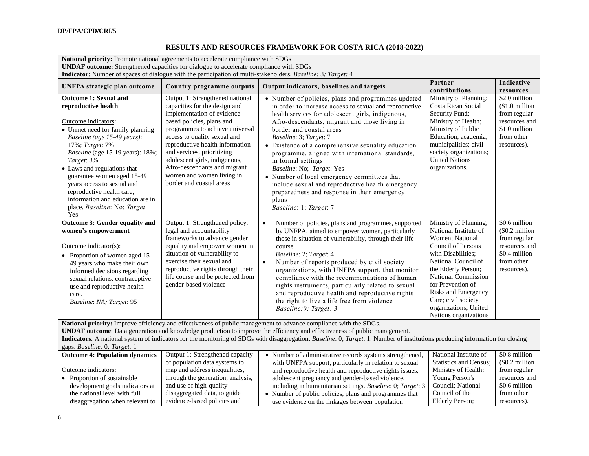## **RESULTS AND RESOURCES FRAMEWORK FOR COSTA RICA (2018-2022)**

| National priority: Promote national agreements to accelerate compliance with SDGs<br><b>UNDAF</b> outcome: Strengthened capacities for dialogue to accelerate compliance with SDGs<br>Indicator: Number of spaces of dialogue with the participation of multi-stakeholders. Baseline: 3; Target: 4                                                                                                                                                                    |                                                                                                                                                                                                                                                                                                                                                                                            |                                                                                                                                                                                                                                                                                                                                                                                                                                                                                                                                                                                                                             |                                                                                                                                                                                                                                                                                                                |                                                                                                                |
|-----------------------------------------------------------------------------------------------------------------------------------------------------------------------------------------------------------------------------------------------------------------------------------------------------------------------------------------------------------------------------------------------------------------------------------------------------------------------|--------------------------------------------------------------------------------------------------------------------------------------------------------------------------------------------------------------------------------------------------------------------------------------------------------------------------------------------------------------------------------------------|-----------------------------------------------------------------------------------------------------------------------------------------------------------------------------------------------------------------------------------------------------------------------------------------------------------------------------------------------------------------------------------------------------------------------------------------------------------------------------------------------------------------------------------------------------------------------------------------------------------------------------|----------------------------------------------------------------------------------------------------------------------------------------------------------------------------------------------------------------------------------------------------------------------------------------------------------------|----------------------------------------------------------------------------------------------------------------|
| <b>UNFPA</b> strategic plan outcome                                                                                                                                                                                                                                                                                                                                                                                                                                   | Country programme outputs                                                                                                                                                                                                                                                                                                                                                                  | Output indicators, baselines and targets                                                                                                                                                                                                                                                                                                                                                                                                                                                                                                                                                                                    | Partner<br>contributions                                                                                                                                                                                                                                                                                       | Indicative<br>resources                                                                                        |
| <b>Outcome 1: Sexual and</b><br>reproductive health<br>Outcome indicators:<br>• Unmet need for family planning<br>Baseline (age 15-49 years):<br>17%; Target: 7%<br>Baseline (age 15-19 years): 18%;<br>Target: 8%<br>• Laws and regulations that<br>guarantee women aged 15-49<br>years access to sexual and<br>reproductive health care,<br>information and education are in<br>place. Baseline: No; Target:<br>Yes                                                 | Output 1: Strengthened national<br>capacities for the design and<br>implementation of evidence-<br>based policies, plans and<br>programmes to achieve universal<br>access to quality sexual and<br>reproductive health information<br>and services, prioritizing<br>adolescent girls, indigenous,<br>Afro-descendants and migrant<br>women and women living in<br>border and coastal areas | • Number of policies, plans and programmes updated<br>in order to increase access to sexual and reproductive<br>health services for adolescent girls, indigenous,<br>Afro-descendants, migrant and those living in<br>border and coastal areas<br>Baseline: 3; Target: 7<br>• Existence of a comprehensive sexuality education<br>programme, aligned with international standards,<br>in formal settings<br>Baseline: No; Target: Yes<br>• Number of local emergency committees that<br>include sexual and reproductive health emergency<br>preparedness and response in their emergency<br>plans<br>Baseline: 1; Target: 7 | Ministry of Planning;<br>Costa Rican Social<br>Security Fund;<br>Ministry of Health;<br>Ministry of Public<br>Education; academia;<br>municipalities; civil<br>society organizations;<br><b>United Nations</b><br>organizations.                                                                               | \$2.0 million<br>$$1.0$ million<br>from regular<br>resources and<br>\$1.0 million<br>from other<br>resources). |
| Outcome 3: Gender equality and<br>women's empowerment<br>$Outcome indicator(s):$<br>• Proportion of women aged 15-<br>49 years who make their own<br>informed decisions regarding<br>sexual relations, contraceptive<br>use and reproductive health<br>care.<br>Baseline: NA; Target: 95                                                                                                                                                                              | Output 1: Strengthened policy,<br>legal and accountability<br>frameworks to advance gender<br>equality and empower women in<br>situation of vulnerability to<br>exercise their sexual and<br>reproductive rights through their<br>life course and be protected from<br>gender-based violence                                                                                               | Number of policies, plans and programmes, supported<br>$\bullet$<br>by UNFPA, aimed to empower women, particularly<br>those in situation of vulnerability, through their life<br>course<br>Baseline: 2; Target: 4<br>Number of reports produced by civil society<br>$\bullet$<br>organizations, with UNFPA support, that monitor<br>compliance with the recommendations of human<br>rights instruments, particularly related to sexual<br>and reproductive health and reproductive rights<br>the right to live a life free from violence<br>Baseline:0; Target: 3                                                           | Ministry of Planning;<br>National Institute of<br>Women; National<br>Council of Persons<br>with Disabilities;<br>National Council of<br>the Elderly Person;<br><b>National Commission</b><br>for Prevention of<br>Risks and Emergency<br>Care; civil society<br>organizations; United<br>Nations organizations | \$0.6 million<br>$$0.2$ million<br>from regular<br>resources and<br>\$0.4 million<br>from other<br>resources). |
| National priority: Improve efficiency and effectiveness of public management to advance compliance with the SDGs.<br><b>UNDAF outcome:</b> Data generation and knowledge production to improve the efficiency and effectiveness of public management.<br>Indicators: A national system of indicators for the monitoring of SDGs with disaggregation. Baseline: 0; Target: 1. Number of institutions producing information for closing<br>gaps. Baseline: 0; Target: 1 |                                                                                                                                                                                                                                                                                                                                                                                            |                                                                                                                                                                                                                                                                                                                                                                                                                                                                                                                                                                                                                             |                                                                                                                                                                                                                                                                                                                |                                                                                                                |
| <b>Outcome 4: Population dynamics</b><br>Outcome indicators:<br>• Proportion of sustainable<br>development goals indicators at<br>the national level with full<br>disaggregation when relevant to                                                                                                                                                                                                                                                                     | Output 1: Strengthened capacity<br>of population data systems to<br>map and address inequalities,<br>through the generation, analysis,<br>and use of high-quality<br>disaggregated data, to guide<br>evidence-based policies and                                                                                                                                                           | • Number of administrative records systems strengthened,<br>with UNFPA support, particularly in relation to sexual<br>and reproductive health and reproductive rights issues,<br>adolescent pregnancy and gender-based violence,<br>including in humanitarian settings. Baseline: 0; Target: 3<br>• Number of public policies, plans and programmes that<br>use evidence on the linkages between population                                                                                                                                                                                                                 | National Institute of<br>Statistics and Census;<br>Ministry of Health;<br>Young Person's<br>Council; National<br>Council of the<br>Elderly Person;                                                                                                                                                             | \$0.8 million<br>$$0.2$ million<br>from regular<br>resources and<br>\$0.6 million<br>from other<br>resources). |